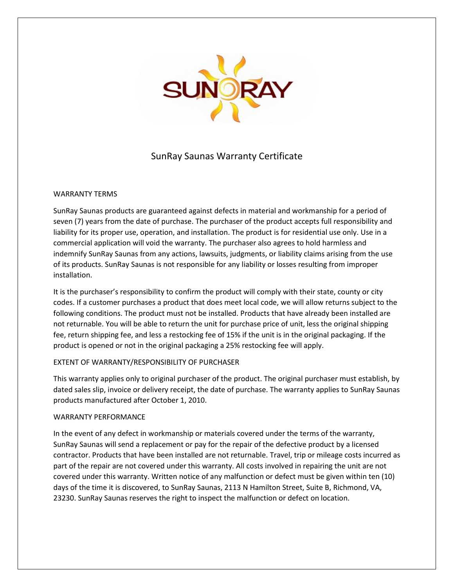

# SunRay Saunas Warranty Certificate

## WARRANTY TERMS

SunRay Saunas products are guaranteed against defects in material and workmanship for a period of seven (7) years from the date of purchase. The purchaser of the product accepts full responsibility and liability for its proper use, operation, and installation. The product is for residential use only. Use in a commercial application will void the warranty. The purchaser also agrees to hold harmless and indemnify SunRay Saunas from any actions, lawsuits, judgments, or liability claims arising from the use of its products. SunRay Saunas is not responsible for any liability or losses resulting from improper installation.

It is the purchaser's responsibility to confirm the product will comply with their state, county or city codes. If a customer purchases a product that does meet local code, we will allow returns subject to the following conditions. The product must not be installed. Products that have already been installed are not returnable. You will be able to return the unit for purchase price of unit, less the original shipping fee, return shipping fee, and less a restocking fee of 15% if the unit is in the original packaging. If the product is opened or not in the original packaging a 25% restocking fee will apply.

# EXTENT OF WARRANTY/RESPONSIBILITY OF PURCHASER

This warranty applies only to original purchaser of the product. The original purchaser must establish, by dated sales slip, invoice or delivery receipt, the date of purchase. The warranty applies to SunRay Saunas products manufactured after October 1, 2010.

#### WARRANTY PERFORMANCE

In the event of any defect in workmanship or materials covered under the terms of the warranty, SunRay Saunas will send a replacement or pay for the repair of the defective product by a licensed contractor. Products that have been installed are not returnable. Travel, trip or mileage costs incurred as part of the repair are not covered under this warranty. All costs involved in repairing the unit are not covered under this warranty. Written notice of any malfunction or defect must be given within ten (10) days of the time it is discovered, to SunRay Saunas, 2113 N Hamilton Street, Suite B, Richmond, VA, 23230. SunRay Saunas reserves the right to inspect the malfunction or defect on location.